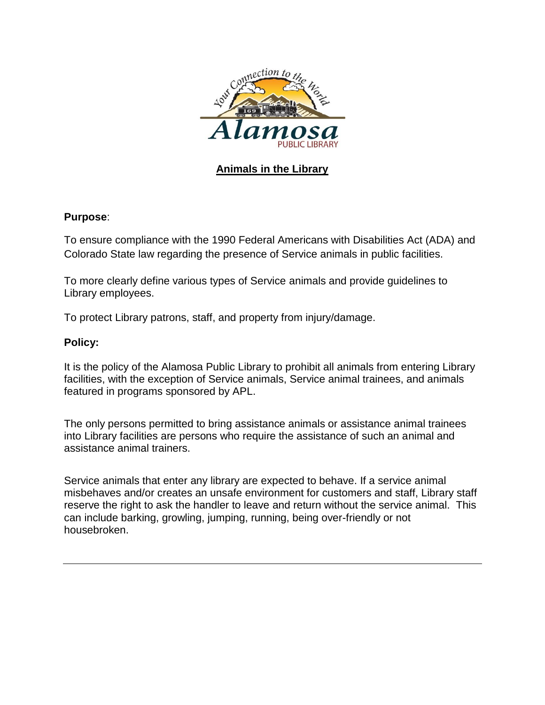

# **Animals in the Library**

### **Purpose**:

To ensure compliance with the 1990 Federal Americans with Disabilities Act (ADA) and Colorado State law regarding the presence of Service animals in public facilities.

To more clearly define various types of Service animals and provide guidelines to Library employees.

To protect Library patrons, staff, and property from injury/damage.

## **Policy:**

It is the policy of the Alamosa Public Library to prohibit all animals from entering Library facilities, with the exception of Service animals, Service animal trainees, and animals featured in programs sponsored by APL.

The only persons permitted to bring assistance animals or assistance animal trainees into Library facilities are persons who require the assistance of such an animal and assistance animal trainers.

Service animals that enter any library are expected to behave. If a service animal misbehaves and/or creates an unsafe environment for customers and staff, Library staff reserve the right to ask the handler to leave and return without the service animal. This can include barking, growling, jumping, running, being over-friendly or not housebroken.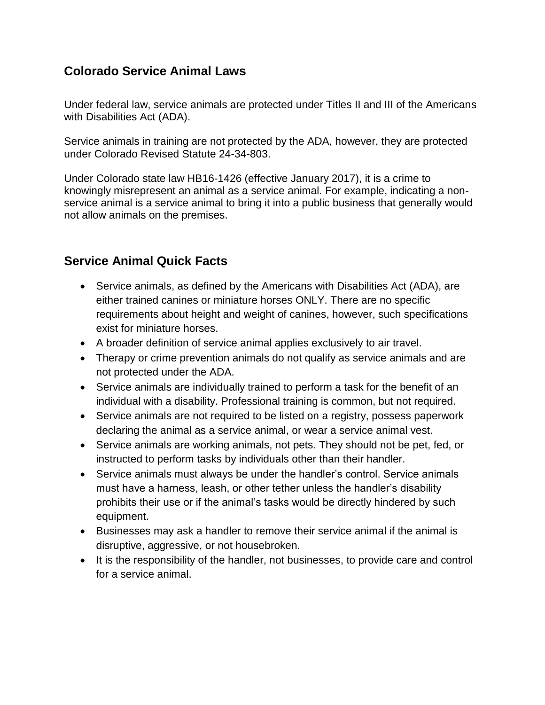# **Colorado Service Animal Laws**

Under federal law, service animals are protected under Titles II and III of the Americans with Disabilities Act (ADA).

Service animals in training are not protected by the ADA, however, they are protected under Colorado Revised Statute 24-34-803.

Under Colorado state law HB16-1426 (effective January 2017), it is a crime to knowingly misrepresent an animal as a service animal. For example, indicating a nonservice animal is a service animal to bring it into a public business that generally would not allow animals on the premises.

# **Service Animal Quick Facts**

- Service animals, as defined by the Americans with Disabilities Act (ADA), are either trained canines or miniature horses ONLY. There are no specific requirements about height and weight of canines, however, such specifications exist for miniature horses.
- A broader definition of service animal applies exclusively to air travel.
- Therapy or crime prevention animals do not qualify as service animals and are not protected under the ADA.
- Service animals are individually trained to perform a task for the benefit of an individual with a disability. Professional training is common, but not required.
- Service animals are not required to be listed on a registry, possess paperwork declaring the animal as a service animal, or wear a service animal vest.
- Service animals are working animals, not pets. They should not be pet, fed, or instructed to perform tasks by individuals other than their handler.
- Service animals must always be under the handler's control. Service animals must have a harness, leash, or other tether unless the handler's disability prohibits their use or if the animal's tasks would be directly hindered by such equipment.
- Businesses may ask a handler to remove their service animal if the animal is disruptive, aggressive, or not housebroken.
- It is the responsibility of the handler, not businesses, to provide care and control for a service animal.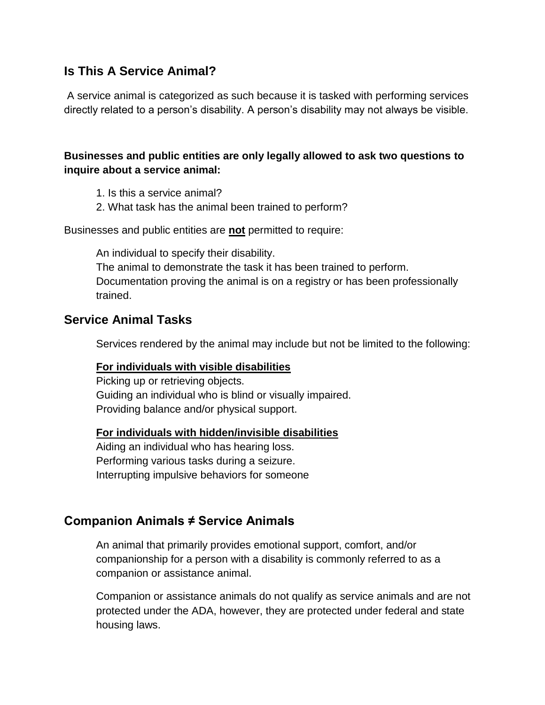# **Is This A Service Animal?**

A service animal is categorized as such because it is tasked with performing services directly related to a person's disability. A person's disability may not always be visible.

## **Businesses and public entities are only legally allowed to ask two questions to inquire about a service animal:**

- 1. Is this a service animal?
- 2. What task has the animal been trained to perform?

Businesses and public entities are **not** permitted to require:

An individual to specify their disability. The animal to demonstrate the task it has been trained to perform. Documentation proving the animal is on a registry or has been professionally trained.

# **Service Animal Tasks**

Services rendered by the animal may include but not be limited to the following:

### **For individuals with visible disabilities**

Picking up or retrieving objects. Guiding an individual who is blind or visually impaired. Providing balance and/or physical support.

#### **For individuals with hidden/invisible disabilities**

Aiding an individual who has hearing loss. Performing various tasks during a seizure. Interrupting impulsive behaviors for someone

# **Companion Animals ≠ Service Animals**

An animal that primarily provides emotional support, comfort, and/or companionship for a person with a disability is commonly referred to as a companion or assistance animal.

Companion or assistance animals do not qualify as service animals and are not protected under the ADA, however, they are protected under federal and state housing laws.